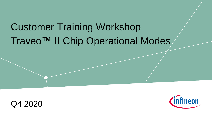# Customer Training Workshop Traveo™ II Chip Operational Modes



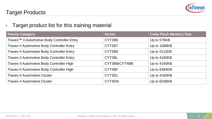

## Target Products

#### $\rightarrow$  Target product list for this training material

| <b>Family Category</b>                                  | <b>Series</b> | <b>Code Flash Memory Size</b> |
|---------------------------------------------------------|---------------|-------------------------------|
| Traveo <sup>™</sup> Il Automotive Body Controller Entry | CYT2B6        | Up to 576KB                   |
| <b>Traveo II Automotive Body Controller Entry</b>       | CYT2B7        | Up to 1088KB                  |
| <b>Traveo II Automotive Body Controller Entry</b>       | CYT2B9        | Up to 2112KB                  |
| <b>Traveo II Automotive Body Controller Entry</b>       | CYT2BL        | Up to 4160KB                  |
| Traveo II Automotive Body Controller High               | CYT3BB/CYT4BB | Up to 4160KB                  |
| Traveo II Automotive Body Controller High               | CYT4BF        | Up to 8384KB                  |
| <b>Traveo II Automotive Cluster</b>                     | CYT3DL        | Up to 4160KB                  |
| <b>Traveo II Automotive Cluster</b>                     | CYT4DN        | Up to 6336KB                  |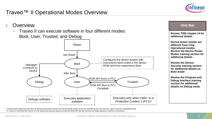



<sup>1</sup>Trusted mode allows the execution of special subroutines stored in the device ROM, which cannot be modified by the user and are used to execute copyrighted code. <sup>2</sup> In Traveo II, the ROM API runs in PC1 for safety and security reasons so that the ROM API has the minimum privilege required to perform its functions.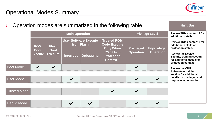

| Operation modes are summarized in the following table |                               |                  |                                            |  |                                                                                                                        | <b>Hint Bar</b>                       |                                                        |                                                                                                                                                                                                    |
|-------------------------------------------------------|-------------------------------|------------------|--------------------------------------------|--|------------------------------------------------------------------------------------------------------------------------|---------------------------------------|--------------------------------------------------------|----------------------------------------------------------------------------------------------------------------------------------------------------------------------------------------------------|
|                                                       | <b>Main Operation</b>         |                  |                                            |  | <b>Privilege Level</b>                                                                                                 |                                       | <b>Review TRM chapter 14 for</b><br>additional details |                                                                                                                                                                                                    |
| <b>ROM</b><br><b>Boot</b><br><b>Execute</b>           |                               | <b>Flash</b>     | <b>User Software Execute</b><br>from Flash |  | <b>Trusted ROM</b><br><b>Code Execute</b><br><b>Only When</b><br>$CMO+$ Is In<br><b>Protection</b><br><b>Context 1</b> | <b>Privileged</b><br><b>Operation</b> | <b>Unprivileged</b><br><b>Operation</b>                | <b>Review TRM chapter 13 for</b><br>additional details on<br>protection states.<br><b>Review the Device</b><br><b>Security training section</b><br>for additional details on<br>protection context |
|                                                       | <b>Boot</b><br><b>Execute</b> | <b>Interrupt</b> | <b>Debugging</b>                           |  |                                                                                                                        |                                       |                                                        |                                                                                                                                                                                                    |
| <b>Boot Mode</b>                                      |                               |                  |                                            |  |                                                                                                                        |                                       |                                                        | <b>Review the CPU</b>                                                                                                                                                                              |
|                                                       |                               |                  |                                            |  |                                                                                                                        |                                       |                                                        | <b>Subsystem training</b><br>section for additional<br>details on privileged and                                                                                                                   |
| <b>User Mode</b>                                      |                               |                  | $\boldsymbol{\checkmark}$                  |  |                                                                                                                        |                                       |                                                        | unprivileged operation                                                                                                                                                                             |
| <b>Trusted Mode</b>                                   |                               |                  |                                            |  |                                                                                                                        | $\blacktriangleright$                 |                                                        |                                                                                                                                                                                                    |
| Debug Mode                                            |                               |                  |                                            |  |                                                                                                                        |                                       |                                                        |                                                                                                                                                                                                    |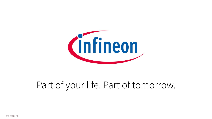

# Part of your life. Part of tomorrow.